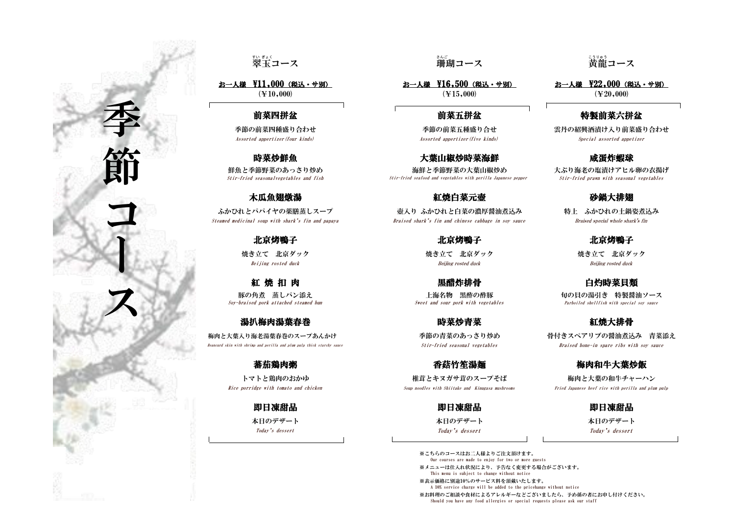### 特製前菜六拼盆

※こちらのコースはお二人様よりご注文頂けます。 Our courses are made to enjoy for two or more guests ※メニューは仕入れ状況により、予告なく変更する場合がございます。 This menu is subject to change without notice ※表示価格に別途10%のサービス料を頂戴いたします。 A 10% service charge will be added to the pricehange witbout notice ※お料理のご相談や食材によるアレルギーなどございましたら、予め係の者にお申し付けください。 Should you have any food allergies or special requests please ask our staff

--<sub>3リゅう</sub><br>黄龍コース

鮮魚と季節野菜のあっさり炒め インチン 海鮮と季節野菜の大葉山椒炒め 大ぶり海老の塩漬けアヒル卵の衣揚げ Stir-fried seasonalvegetables and fish Stir-fried seafood and vegetables with perilla Japanese pepper Stir-fried prawn with seasonal vegetables

## 翠 すい 玉 ぎょく コース 珊瑚

## 木瓜魚翅燉湯 おおおところ おおところ こうしゃ こうしゃ こうしゃ こうしゅう こうしゅう ひょうかい ひょうかい ひょうかい ひょうかい ひょうかい かいじょう

焼き立て 北京ダック おようしゃ 焼き立て 北京ダック おおしゃ しゅうせい 焼き立て 北京ダック 北京烤鴨子 北京烤鴨子 北京 北京 北京 大学 北京烤鴨子

紅 焼 扣 肉 てんじゃく こうしゃ あいしゃ 黒醋炸排骨 いっちゃ おおおお こうかい 白灼時菜貝類

### 湯扒梅肉湯葉春巻 あいしゃ あいしゃ 時菜炒青菜 おんじょう おくしゃ お焼大排骨

ふかひれとパパイヤの薬膳蒸しスープ アイナンス うってんり ふかひれと白菜の濃厚醤油煮込み かいわと 特上 ふかひれの土鍋姿煮込み Steamed medicinal soup with shark's fin and papaya Braised shark's fin and chinese cabbage in soy sauce Braised special whole shark's fin

Soy-braised pork attached steamed bun Sweet and sour pork with vegetables Parboiled shellfish with special soy sauce 豚の角煮 蒸しパン添え しゅうしゃ インチ 一つ 一つ 上海名物 黒酢の酢豚 しゅうしょ こうしゅう おんこう 特製醤油ソース

### 蕃茄鶏肉粥 青春 医白细胞 医二十二指数 香菇竹笙湯麺 青春 医二十二指数 医有机牛大葉炒飯

雲丹の紹興酒漬け入り前菜盛り合わせ Assorted appertizer(four kinds) Assorted appertizer(five kinds) Special assorted appetizer

梅肉と大葉入り海老湯葉春巻のスープあんかけ 季節の青菜のあっさり炒め 骨付きスペアリブの醤油煮込み 青菜添え Beancurd skin with shrimp and perilla and plum pulp thick starchy sauce Stir-fried seasonal vegetables Braised bone-in spare ribs with soy sauce

本日のデザート 本日のデザート あたま 本日のデザート あんこう あんご あんこう Today's dessert Today's dessert Today's dessert

季 節

Beijing rosted duck Beijing rosted duck Beijing rosted duck

トマトと鶏肉のおかゆ 椎茸とキヌガサ茸のスープそば 梅肉と大葉の和牛チャーハン

Rice porridge with tomato and chicken Soup noodles with Shiitake and Kinugasa mushrooms Fried Japanese beef rice with perilla and plum pulp

即日凍甜品 即日凍甜品 即日凍甜品

# 。。。<br>珊瑚コース

( $\textcolor{blue}{\textbf{\textcolor{blue}{(}}\mathbf{\textcolor{blue}{\{}}\mathbf{\{}}\mathbf{\{}}\mathbf{10,000}\mathbf{)}}$  ( $\textcolor{blue}{\textbf{\{}}\mathbf{\{}}\mathbf{\{}}\mathbf{20,000}\mathbf{)}}$  ( $\textcolor{red}{\textbf{\{}}\mathbf{\{}}\mathbf{\{}}\mathbf{20,000}\mathbf{)}}$ お一人様 \11,000(税込・サ別) おこの お一人様 \16,500(税込・サ別) お一人様 \22,000(税込・サ別)

### 前菜四拼盆 有效的 医心包的 计数据 计算机拼盆

季節の前菜四種盛り合わせ みちょう かんじょう 季節の前菜五種盛り合せ

### 時菜炒鮮魚 おおもの おおもの おおし 大葉山椒炒時菜海鮮 おおおお おおお 咸蛋炸蝦球

コ

ー

ス